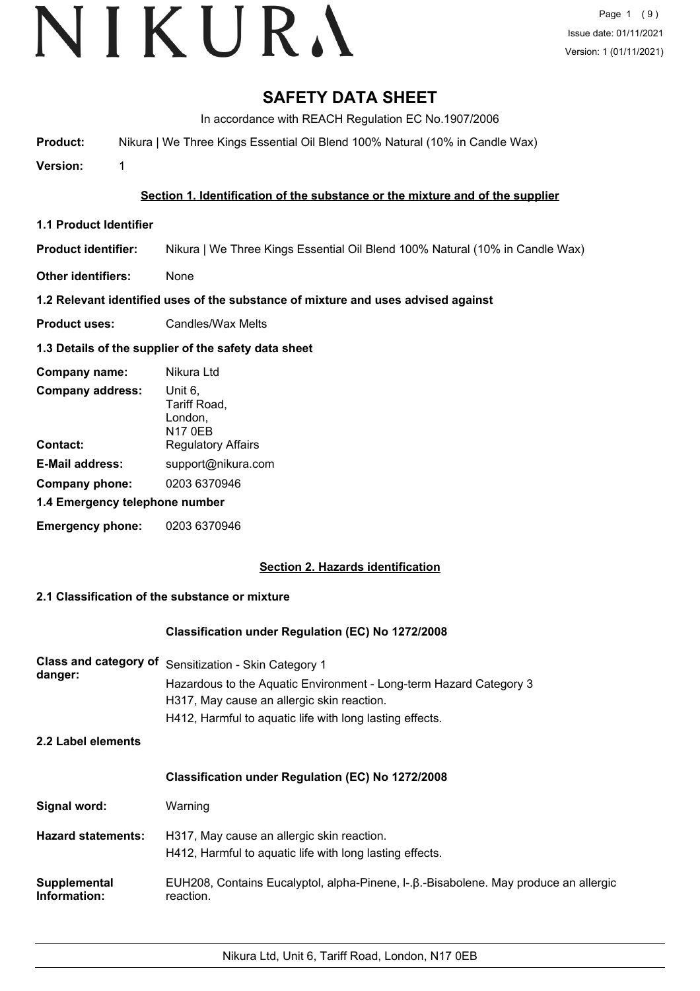# **SAFETY DATA SHEET**

In accordance with REACH Regulation EC No.1907/2006

**Product:** Nikura | We Three Kings Essential Oil Blend 100% Natural (10% in Candle Wax)

**Version:** 1

## **Section 1. Identification of the substance or the mixture and of the supplier**

**1.1 Product Identifier**

**Product identifier:** Nikura | We Three Kings Essential Oil Blend 100% Natural (10% in Candle Wax)

**Other identifiers:** None

## **1.2 Relevant identified uses of the substance of mixture and uses advised against**

**Product uses:** Candles/Wax Melts

## **1.3 Details of the supplier of the safety data sheet**

| Company name:                  | Nikura Ltd                                    |
|--------------------------------|-----------------------------------------------|
| <b>Company address:</b>        | Unit 6.<br>Tariff Road,<br>London,<br>N17 0EB |
| Contact:                       | <b>Regulatory Affairs</b>                     |
| <b>E-Mail address:</b>         | support@nikura.com                            |
| Company phone:                 | 0203 6370946                                  |
| 1.4 Emergency telephone number |                                               |
| <b>Emergency phone:</b>        | 0203 6370946                                  |

## **Section 2. Hazards identification**

## **2.1 Classification of the substance or mixture**

## **Classification under Regulation (EC) No 1272/2008**

| Class and category of<br>danger: | Sensitization - Skin Category 1<br>Hazardous to the Aquatic Environment - Long-term Hazard Category 3<br>H317, May cause an allergic skin reaction.<br>H412, Harmful to aquatic life with long lasting effects. |  |
|----------------------------------|-----------------------------------------------------------------------------------------------------------------------------------------------------------------------------------------------------------------|--|
| 2.2 Label elements               |                                                                                                                                                                                                                 |  |
|                                  | <b>Classification under Regulation (EC) No 1272/2008</b>                                                                                                                                                        |  |
| Signal word:                     | Warning                                                                                                                                                                                                         |  |
| <b>Hazard statements:</b>        | H317, May cause an allergic skin reaction.<br>H412, Harmful to aquatic life with long lasting effects.                                                                                                          |  |
| Supplemental<br>Information:     | EUH208, Contains Eucalyptol, alpha-Pinene, I-.β.-Bisabolene. May produce an allergic<br>reaction.                                                                                                               |  |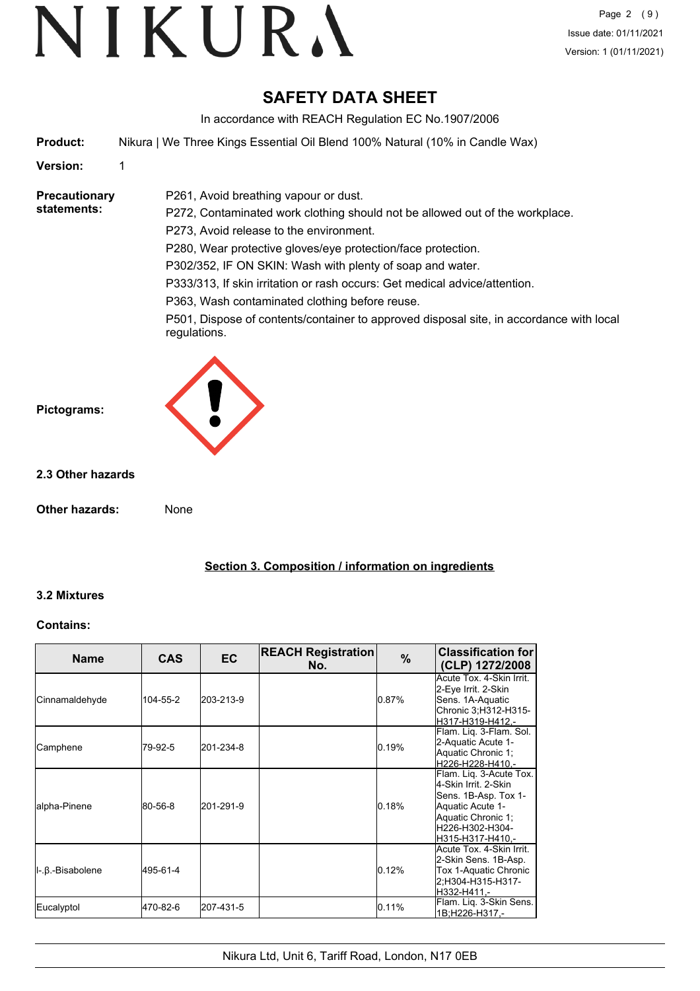# **SAFETY DATA SHEET**

In accordance with REACH Regulation EC No.1907/2006

**Product:** Nikura | We Three Kings Essential Oil Blend 100% Natural (10% in Candle Wax)

P261, Avoid breathing vapour or dust.

#### **Version:** 1

#### **Precautionary statements:**

P272, Contaminated work clothing should not be allowed out of the workplace. P273, Avoid release to the environment. P280, Wear protective gloves/eye protection/face protection. P302/352, IF ON SKIN: Wash with plenty of soap and water. P333/313, If skin irritation or rash occurs: Get medical advice/attention. P363, Wash contaminated clothing before reuse.

P501, Dispose of contents/container to approved disposal site, in accordance with local regulations.



#### **2.3 Other hazards**

**Other hazards:** None

**Section 3. Composition / information on ingredients**

#### **3.2 Mixtures**

#### **Contains:**

| <b>Name</b>           | <b>CAS</b> | EC        | <b>REACH Registration</b><br>No. | $\frac{9}{6}$ | <b>Classification for</b><br>(CLP) 1272/2008                                                                                                             |
|-----------------------|------------|-----------|----------------------------------|---------------|----------------------------------------------------------------------------------------------------------------------------------------------------------|
| <b>Cinnamaldehyde</b> | 104-55-2   | 203-213-9 |                                  | 0.87%         | Acute Tox. 4-Skin Irrit.<br>2-Eye Irrit. 2-Skin<br>Sens. 1A-Aquatic<br>Chronic 3; H312-H315-<br>H317-H319-H412.-                                         |
| Camphene              | 79-92-5    | 201-234-8 |                                  | 0.19%         | Flam. Lig. 3-Flam. Sol.<br>2-Aquatic Acute 1-<br>Aquatic Chronic 1;<br>H226-H228-H410.-                                                                  |
| alpha-Pinene          | 80-56-8    | 201-291-9 |                                  | 0.18%         | Flam. Liq. 3-Acute Tox.<br>4-Skin Irrit, 2-Skin<br>Sens. 1B-Asp. Tox 1-<br>Aquatic Acute 1-<br>Aquatic Chronic 1;<br>H226-H302-H304-<br>H315-H317-H410,- |
| II-.β.-Bisabolene     | 495-61-4   |           |                                  | 0.12%         | Acute Tox. 4-Skin Irrit.<br>2-Skin Sens. 1B-Asp.<br>Tox 1-Aquatic Chronic<br>2;H304-H315-H317-<br>H332-H411.-                                            |
| Eucalyptol            | 470-82-6   | 207-431-5 |                                  | 0.11%         | Flam. Liq. 3-Skin Sens.<br>1B;H226-H317.-                                                                                                                |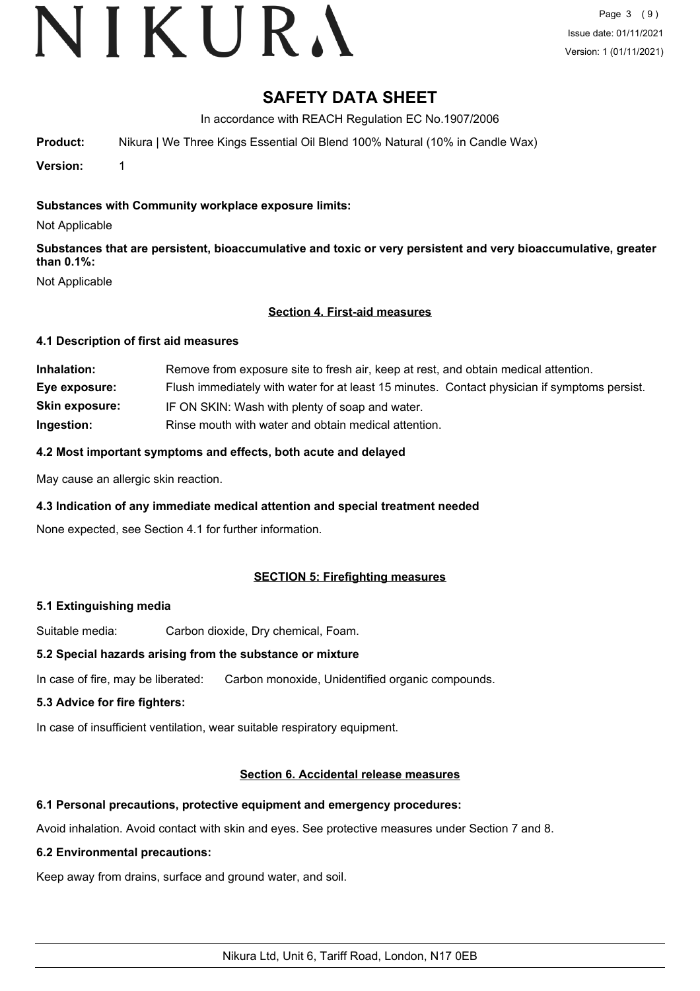# VIKURA

## **SAFETY DATA SHEET**

In accordance with REACH Regulation EC No.1907/2006

**Product:** Nikura | We Three Kings Essential Oil Blend 100% Natural (10% in Candle Wax)

**Version:** 1

#### **Substances with Community workplace exposure limits:**

Not Applicable

**Substances that are persistent, bioaccumulative and toxic or very persistent and very bioaccumulative, greater than 0.1%:**

Not Applicable

#### **Section 4. First-aid measures**

#### **4.1 Description of first aid measures**

| Inhalation:           | Remove from exposure site to fresh air, keep at rest, and obtain medical attention.          |
|-----------------------|----------------------------------------------------------------------------------------------|
| Eye exposure:         | Flush immediately with water for at least 15 minutes. Contact physician if symptoms persist. |
| <b>Skin exposure:</b> | IF ON SKIN: Wash with plenty of soap and water.                                              |
| Ingestion:            | Rinse mouth with water and obtain medical attention.                                         |

#### **4.2 Most important symptoms and effects, both acute and delayed**

May cause an allergic skin reaction.

#### **4.3 Indication of any immediate medical attention and special treatment needed**

None expected, see Section 4.1 for further information.

#### **SECTION 5: Firefighting measures**

#### **5.1 Extinguishing media**

Suitable media: Carbon dioxide, Dry chemical, Foam.

#### **5.2 Special hazards arising from the substance or mixture**

In case of fire, may be liberated: Carbon monoxide, Unidentified organic compounds.

#### **5.3 Advice for fire fighters:**

In case of insufficient ventilation, wear suitable respiratory equipment.

#### **Section 6. Accidental release measures**

#### **6.1 Personal precautions, protective equipment and emergency procedures:**

Avoid inhalation. Avoid contact with skin and eyes. See protective measures under Section 7 and 8.

#### **6.2 Environmental precautions:**

Keep away from drains, surface and ground water, and soil.

Nikura Ltd, Unit 6, Tariff Road, London, N17 0EB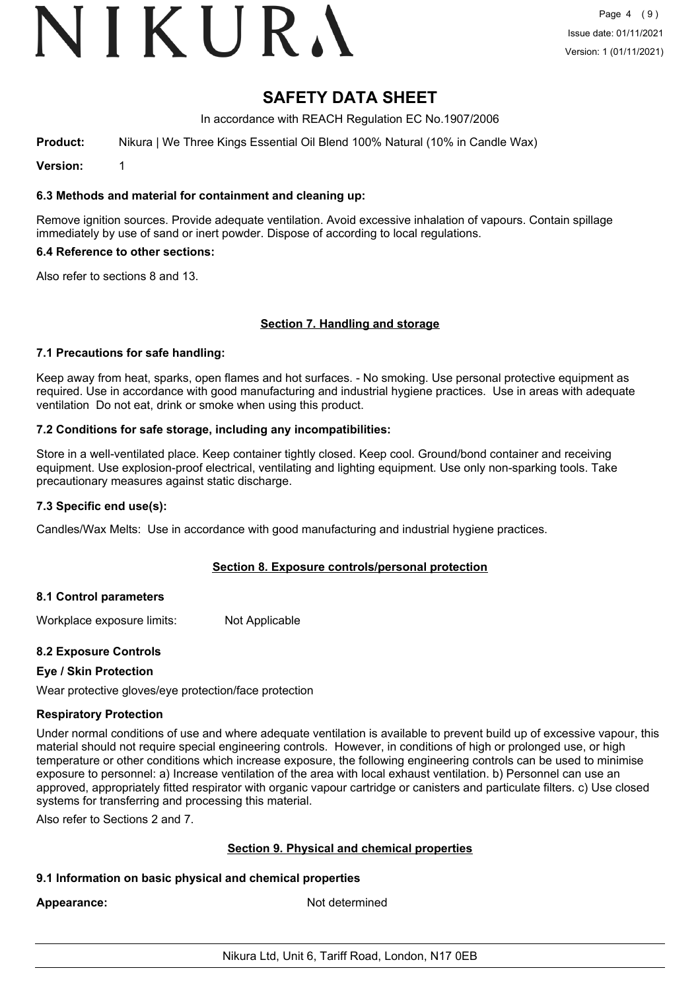# VIKURA

## **SAFETY DATA SHEET**

In accordance with REACH Regulation EC No.1907/2006

**Product:** Nikura | We Three Kings Essential Oil Blend 100% Natural (10% in Candle Wax)

**Version:** 1

#### **6.3 Methods and material for containment and cleaning up:**

Remove ignition sources. Provide adequate ventilation. Avoid excessive inhalation of vapours. Contain spillage immediately by use of sand or inert powder. Dispose of according to local regulations.

#### **6.4 Reference to other sections:**

Also refer to sections 8 and 13.

#### **Section 7. Handling and storage**

#### **7.1 Precautions for safe handling:**

Keep away from heat, sparks, open flames and hot surfaces. - No smoking. Use personal protective equipment as required. Use in accordance with good manufacturing and industrial hygiene practices. Use in areas with adequate ventilation Do not eat, drink or smoke when using this product.

#### **7.2 Conditions for safe storage, including any incompatibilities:**

Store in a well-ventilated place. Keep container tightly closed. Keep cool. Ground/bond container and receiving equipment. Use explosion-proof electrical, ventilating and lighting equipment. Use only non-sparking tools. Take precautionary measures against static discharge.

#### **7.3 Specific end use(s):**

Candles/Wax Melts: Use in accordance with good manufacturing and industrial hygiene practices.

#### **Section 8. Exposure controls/personal protection**

#### **8.1 Control parameters**

Workplace exposure limits: Not Applicable

#### **8.2 Exposure Controls**

#### **Eye / Skin Protection**

Wear protective gloves/eye protection/face protection

#### **Respiratory Protection**

Under normal conditions of use and where adequate ventilation is available to prevent build up of excessive vapour, this material should not require special engineering controls. However, in conditions of high or prolonged use, or high temperature or other conditions which increase exposure, the following engineering controls can be used to minimise exposure to personnel: a) Increase ventilation of the area with local exhaust ventilation. b) Personnel can use an approved, appropriately fitted respirator with organic vapour cartridge or canisters and particulate filters. c) Use closed systems for transferring and processing this material.

Also refer to Sections 2 and 7.

#### **Section 9. Physical and chemical properties**

#### **9.1 Information on basic physical and chemical properties**

Appearance: Not determined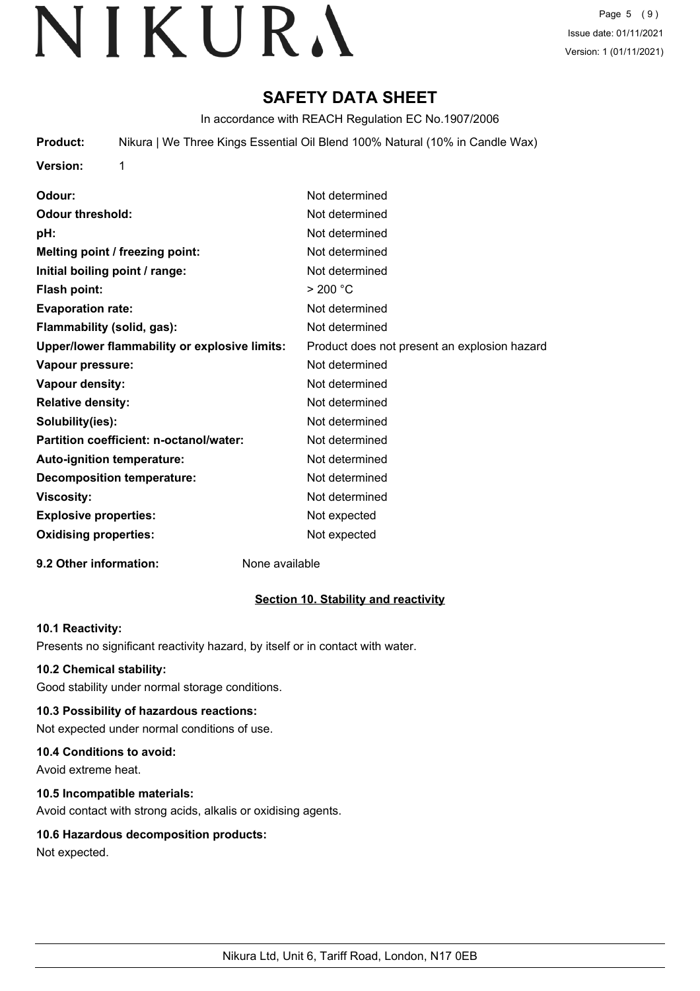# **SAFETY DATA SHEET**

In accordance with REACH Regulation EC No.1907/2006

**Product:** Nikura | We Three Kings Essential Oil Blend 100% Natural (10% in Candle Wax)

**Version:** 1

**Odour:** Not determined **Odour threshold:** Not determined **pH:** Not determined **Melting point / freezing point:** Not determined **Initial boiling point / range:** Not determined Flash point:  $> 200 °C$ **Evaporation rate:** Not determined **Flammability (solid, gas):** Not determined **Upper/lower flammability or explosive limits:** Product does not present an explosion hazard **Vapour pressure:** Not determined **Vapour density:** Not determined **Relative density:** Not determined **Solubility(ies):** Not determined **Partition coefficient: n-octanol/water:** Not determined Auto-ignition temperature: Not determined **Decomposition temperature:** Not determined **Viscosity:** Not determined **Explosive properties:** Not expected **Oxidising properties:** Not expected

#### **9.2 Other information:** None available

## **Section 10. Stability and reactivity**

#### **10.1 Reactivity:**

Presents no significant reactivity hazard, by itself or in contact with water.

#### **10.2 Chemical stability:**

Good stability under normal storage conditions.

## **10.3 Possibility of hazardous reactions:**

Not expected under normal conditions of use.

## **10.4 Conditions to avoid:**

Avoid extreme heat.

## **10.5 Incompatible materials:**

Avoid contact with strong acids, alkalis or oxidising agents.

## **10.6 Hazardous decomposition products:**

Not expected.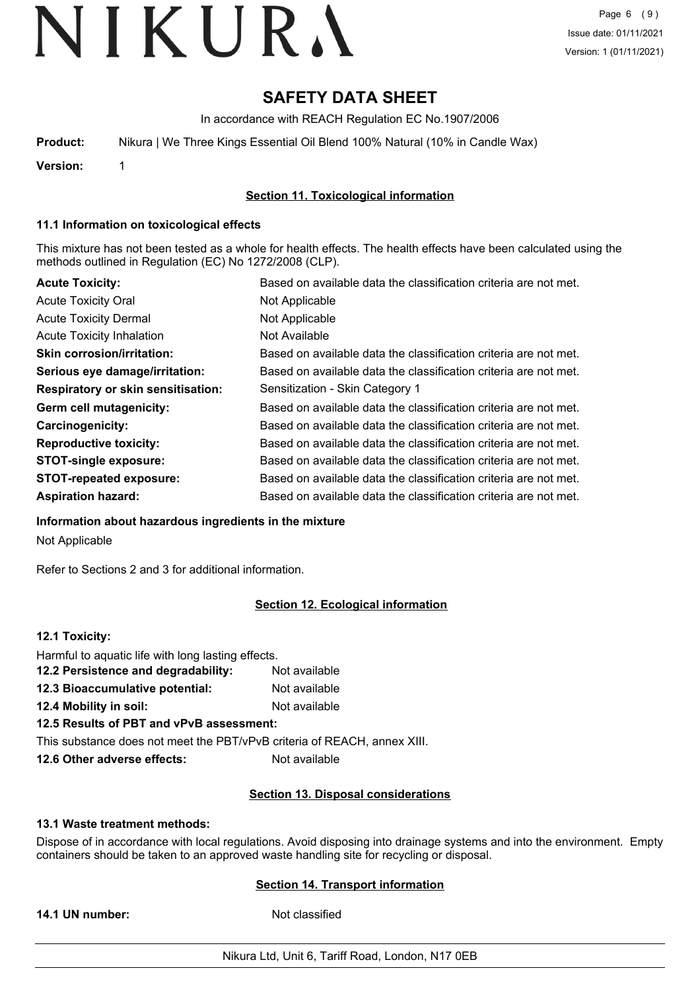# **SAFETY DATA SHEET**

In accordance with REACH Regulation EC No.1907/2006

| Product:  | Nikura   We Three Kings Essential Oil Blend 100% Natural (10% in Candle Wax) |
|-----------|------------------------------------------------------------------------------|
| \/arcian: |                                                                              |

**Version:** 1

### **Section 11. Toxicological information**

#### **11.1 Information on toxicological effects**

This mixture has not been tested as a whole for health effects. The health effects have been calculated using the methods outlined in Regulation (EC) No 1272/2008 (CLP).

| <b>Acute Toxicity:</b>                    | Based on available data the classification criteria are not met. |
|-------------------------------------------|------------------------------------------------------------------|
| <b>Acute Toxicity Oral</b>                | Not Applicable                                                   |
| <b>Acute Toxicity Dermal</b>              | Not Applicable                                                   |
| <b>Acute Toxicity Inhalation</b>          | Not Available                                                    |
| <b>Skin corrosion/irritation:</b>         | Based on available data the classification criteria are not met. |
| Serious eye damage/irritation:            | Based on available data the classification criteria are not met. |
| <b>Respiratory or skin sensitisation:</b> | Sensitization - Skin Category 1                                  |
| Germ cell mutagenicity:                   | Based on available data the classification criteria are not met. |
| <b>Carcinogenicity:</b>                   | Based on available data the classification criteria are not met. |
| <b>Reproductive toxicity:</b>             | Based on available data the classification criteria are not met. |
| <b>STOT-single exposure:</b>              | Based on available data the classification criteria are not met. |
| <b>STOT-repeated exposure:</b>            | Based on available data the classification criteria are not met. |
| <b>Aspiration hazard:</b>                 | Based on available data the classification criteria are not met. |

**Information about hazardous ingredients in the mixture**

Not Applicable

Refer to Sections 2 and 3 for additional information.

## **Section 12. Ecological information**

#### **12.1 Toxicity:**

| Harmful to aquatic life with long lasting effects.                       |               |
|--------------------------------------------------------------------------|---------------|
| 12.2 Persistence and degradability:                                      | Not available |
| 12.3 Bioaccumulative potential:                                          | Not available |
| 12.4 Mobility in soil:                                                   | Not available |
| 12.5 Results of PBT and vPvB assessment:                                 |               |
| This substance does not meet the PBT/vPvB criteria of REACH, annex XIII. |               |
| 12.6 Other adverse effects:                                              | Not available |

#### **Section 13. Disposal considerations**

#### **13.1 Waste treatment methods:**

Dispose of in accordance with local regulations. Avoid disposing into drainage systems and into the environment. Empty containers should be taken to an approved waste handling site for recycling or disposal.

## **Section 14. Transport information**

**14.1 UN number:** Not classified

Nikura Ltd, Unit 6, Tariff Road, London, N17 0EB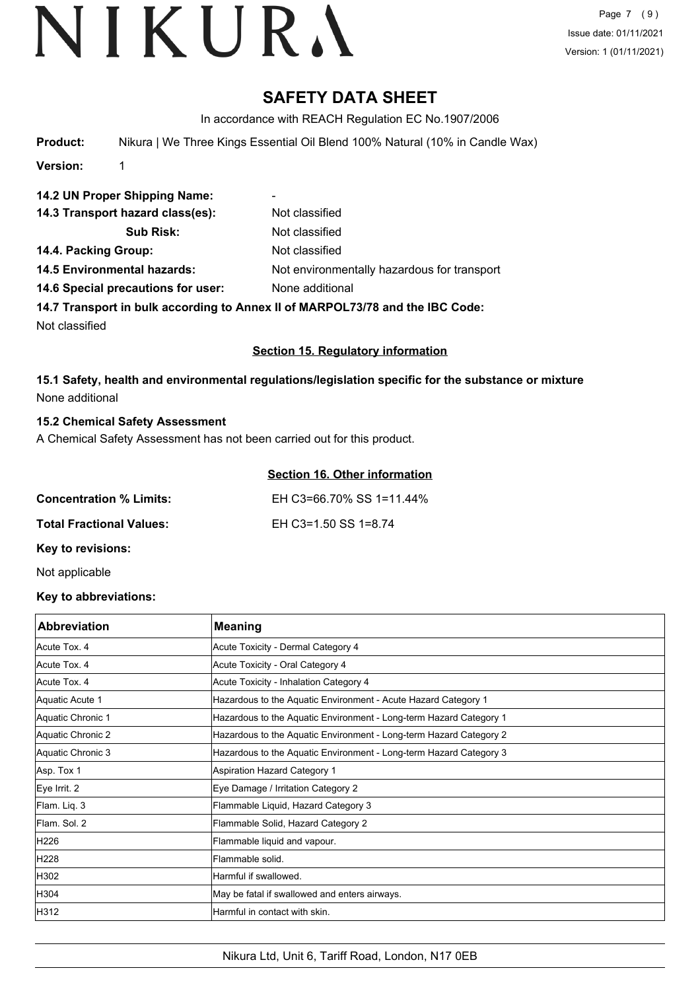# **SAFETY DATA SHEET**

In accordance with REACH Regulation EC No.1907/2006

**Product:** Nikura | We Three Kings Essential Oil Blend 100% Natural (10% in Candle Wax)

**Version:** 1

**14.2 UN Proper Shipping Name:** - 14.3 Transport hazard class(es): Not classified **Sub Risk:** Not classified **14.4. Packing Group:** Not classified **14.5 Environmental hazards:** Not environmentally hazardous for transport **14.6 Special precautions for user:** None additional **14.7 Transport in bulk according to Annex II of MARPOL73/78 and the IBC Code:**

Not classified

#### **Section 15. Regulatory information**

**15.1 Safety, health and environmental regulations/legislation specific for the substance or mixture** None additional

#### **15.2 Chemical Safety Assessment**

A Chemical Safety Assessment has not been carried out for this product.

|                                 | Section 16. Other information |
|---------------------------------|-------------------------------|
| <b>Concentration % Limits:</b>  | EH C3=66.70% SS 1=11.44%      |
| <b>Total Fractional Values:</b> | EH C3=1.50 SS 1=8.74          |
| <b>Key to revisions:</b>        |                               |

Not applicable

#### **Key to abbreviations:**

| <b>Abbreviation</b> | <b>Meaning</b>                                                     |
|---------------------|--------------------------------------------------------------------|
| Acute Tox, 4        | Acute Toxicity - Dermal Category 4                                 |
| Acute Tox. 4        | Acute Toxicity - Oral Category 4                                   |
| Acute Tox. 4        | Acute Toxicity - Inhalation Category 4                             |
| Aquatic Acute 1     | Hazardous to the Aquatic Environment - Acute Hazard Category 1     |
| Aquatic Chronic 1   | Hazardous to the Aquatic Environment - Long-term Hazard Category 1 |
| Aquatic Chronic 2   | Hazardous to the Aquatic Environment - Long-term Hazard Category 2 |
| Aquatic Chronic 3   | Hazardous to the Aquatic Environment - Long-term Hazard Category 3 |
| Asp. Tox 1          | Aspiration Hazard Category 1                                       |
| Eye Irrit. 2        | Eye Damage / Irritation Category 2                                 |
| Flam. Liq. 3        | Flammable Liquid, Hazard Category 3                                |
| Flam, Sol. 2        | Flammable Solid, Hazard Category 2                                 |
| H226                | Flammable liquid and vapour.                                       |
| H228                | lFlammable solid.                                                  |
| H302                | Harmful if swallowed.                                              |
| H304                | May be fatal if swallowed and enters airways.                      |
| H312                | Harmful in contact with skin.                                      |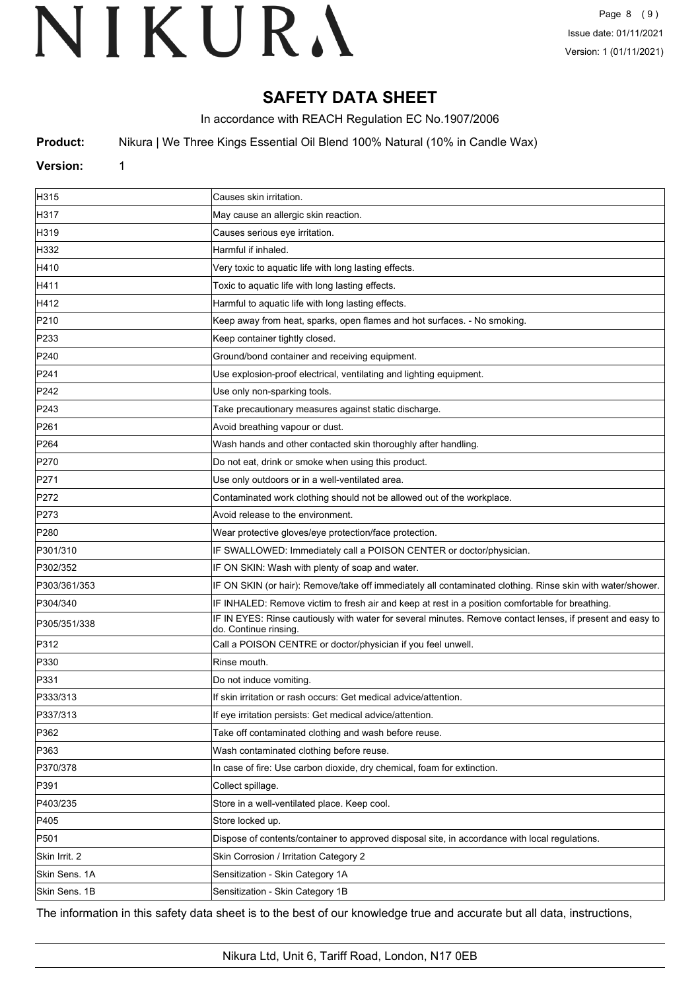# **SAFETY DATA SHEET**

In accordance with REACH Regulation EC No.1907/2006

**Product:** Nikura | We Three Kings Essential Oil Blend 100% Natural (10% in Candle Wax)

## **Version:** 1

| H315          | Causes skin irritation.                                                                                                             |
|---------------|-------------------------------------------------------------------------------------------------------------------------------------|
| H317          | May cause an allergic skin reaction.                                                                                                |
| H319          | Causes serious eye irritation.                                                                                                      |
| H332          | Harmful if inhaled.                                                                                                                 |
| H410          | Very toxic to aquatic life with long lasting effects.                                                                               |
| H411          | Toxic to aquatic life with long lasting effects.                                                                                    |
| H412          | Harmful to aquatic life with long lasting effects.                                                                                  |
| P210          | Keep away from heat, sparks, open flames and hot surfaces. - No smoking.                                                            |
| P233          | Keep container tightly closed.                                                                                                      |
| P240          | Ground/bond container and receiving equipment.                                                                                      |
| P241          | Use explosion-proof electrical, ventilating and lighting equipment.                                                                 |
| P242          | Use only non-sparking tools.                                                                                                        |
| P243          | Take precautionary measures against static discharge.                                                                               |
| P261          | Avoid breathing vapour or dust.                                                                                                     |
| P264          | Wash hands and other contacted skin thoroughly after handling.                                                                      |
| P270          | Do not eat, drink or smoke when using this product.                                                                                 |
| P271          | Use only outdoors or in a well-ventilated area.                                                                                     |
| P272          | Contaminated work clothing should not be allowed out of the workplace.                                                              |
| P273          | Avoid release to the environment.                                                                                                   |
| P280          | Wear protective gloves/eye protection/face protection.                                                                              |
| P301/310      | IF SWALLOWED: Immediately call a POISON CENTER or doctor/physician.                                                                 |
| P302/352      | IF ON SKIN: Wash with plenty of soap and water.                                                                                     |
| P303/361/353  | IF ON SKIN (or hair): Remove/take off immediately all contaminated clothing. Rinse skin with water/shower.                          |
| P304/340      | IF INHALED: Remove victim to fresh air and keep at rest in a position comfortable for breathing.                                    |
| P305/351/338  | IF IN EYES: Rinse cautiously with water for several minutes. Remove contact lenses, if present and easy to<br>do. Continue rinsing. |
| P312          | Call a POISON CENTRE or doctor/physician if you feel unwell.                                                                        |
| P330          | Rinse mouth.                                                                                                                        |
| P331          | Do not induce vomiting.                                                                                                             |
| P333/313      | If skin irritation or rash occurs: Get medical advice/attention.                                                                    |
| P337/313      | If eye irritation persists: Get medical advice/attention.                                                                           |
| P362          | Take off contaminated clothing and wash before reuse.                                                                               |
| P363          | Wash contaminated clothing before reuse.                                                                                            |
| P370/378      | In case of fire: Use carbon dioxide, dry chemical, foam for extinction.                                                             |
| P391          | Collect spillage.                                                                                                                   |
| P403/235      | Store in a well-ventilated place. Keep cool.                                                                                        |
| P405          | Store locked up.                                                                                                                    |
| P501          | Dispose of contents/container to approved disposal site, in accordance with local regulations.                                      |
| Skin Irrit. 2 | Skin Corrosion / Irritation Category 2                                                                                              |
| Skin Sens. 1A | Sensitization - Skin Category 1A                                                                                                    |
| Skin Sens. 1B | Sensitization - Skin Category 1B                                                                                                    |

The information in this safety data sheet is to the best of our knowledge true and accurate but all data, instructions,